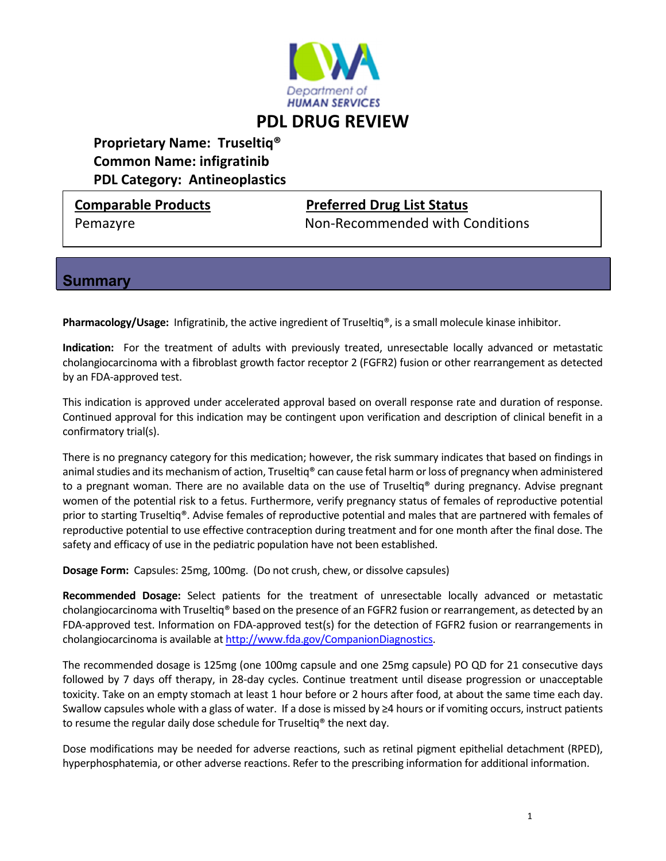

# **PDL DRUG REVIEW**

## **Proprietary Name: Truseltiq® Common Name: infigratinib PDL Category: Antineoplastics**

### **Comparable Products Preferred Drug List Status**

Pemazyre Non‐Recommended with Conditions

### **Summary**

**Pharmacology/Usage:** Infigratinib, the active ingredient of Truseltiq®, is a small molecule kinase inhibitor.

**Indication:** For the treatment of adults with previously treated, unresectable locally advanced or metastatic cholangiocarcinoma with a fibroblast growth factor receptor 2 (FGFR2) fusion or other rearrangement as detected by an FDA‐approved test.

This indication is approved under accelerated approval based on overall response rate and duration of response. Continued approval for this indication may be contingent upon verification and description of clinical benefit in a confirmatory trial(s).

There is no pregnancy category for this medication; however, the risk summary indicates that based on findings in animal studies and its mechanism of action, Truseltiq® can cause fetal harm or loss of pregnancy when administered to a pregnant woman. There are no available data on the use of Truseltiq® during pregnancy. Advise pregnant women of the potential risk to a fetus. Furthermore, verify pregnancy status of females of reproductive potential prior to starting Truseltiq®. Advise females of reproductive potential and males that are partnered with females of reproductive potential to use effective contraception during treatment and for one month after the final dose. The safety and efficacy of use in the pediatric population have not been established.

**Dosage Form:** Capsules: 25mg, 100mg. (Do not crush, chew, or dissolve capsules)

**Recommended Dosage:** Select patients for the treatment of unresectable locally advanced or metastatic cholangiocarcinoma with Truseltiq® based on the presence of an FGFR2 fusion or rearrangement, as detected by an FDA‐approved test. Information on FDA‐approved test(s) for the detection of FGFR2 fusion or rearrangements in cholangiocarcinoma is available at http://www.fda.gov/CompanionDiagnostics.

The recommended dosage is 125mg (one 100mg capsule and one 25mg capsule) PO QD for 21 consecutive days followed by 7 days off therapy, in 28‐day cycles. Continue treatment until disease progression or unacceptable toxicity. Take on an empty stomach at least 1 hour before or 2 hours after food, at about the same time each day. Swallow capsules whole with a glass of water. If a dose is missed by ≥4 hours or if vomiting occurs, instruct patients to resume the regular daily dose schedule for Truseltiq® the next day.

Dose modifications may be needed for adverse reactions, such as retinal pigment epithelial detachment (RPED), hyperphosphatemia, or other adverse reactions. Refer to the prescribing information for additional information.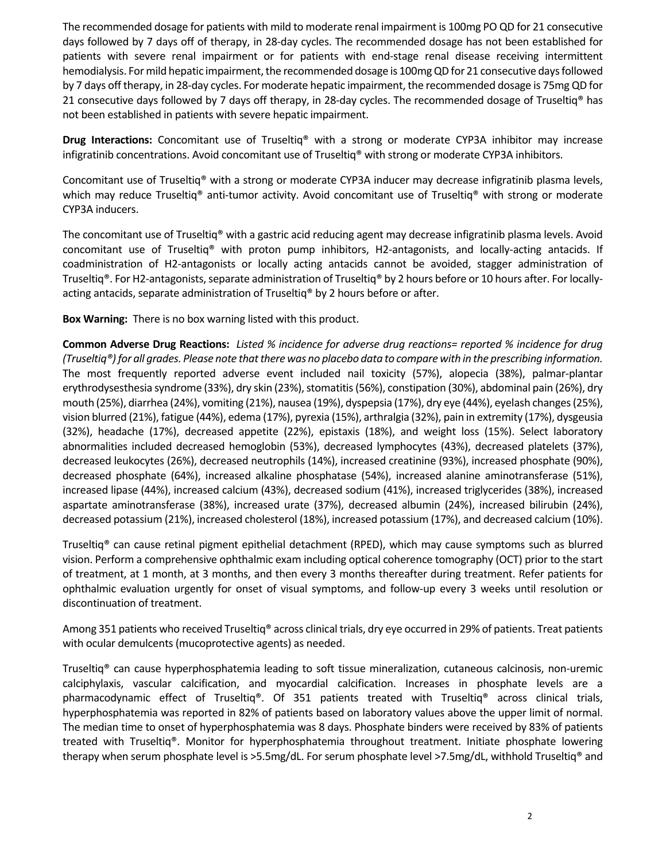The recommended dosage for patients with mild to moderate renal impairment is 100mg PO QD for 21 consecutive days followed by 7 days off of therapy, in 28‐day cycles. The recommended dosage has not been established for patients with severe renal impairment or for patients with end-stage renal disease receiving intermittent hemodialysis. For mild hepatic impairment, the recommended dosage is 100mg QD for 21 consecutive days followed by 7 days off therapy, in 28‐day cycles. For moderate hepatic impairment, the recommended dosage is 75mg QD for 21 consecutive days followed by 7 days off therapy, in 28-day cycles. The recommended dosage of Truseltiq® has not been established in patients with severe hepatic impairment.

**Drug Interactions:** Concomitant use of Truseltiq® with a strong or moderate CYP3A inhibitor may increase infigratinib concentrations. Avoid concomitant use of Truseltiq® with strong or moderate CYP3A inhibitors.

Concomitant use of Truseltiq® with a strong or moderate CYP3A inducer may decrease infigratinib plasma levels, which may reduce Truseltiq<sup>®</sup> anti-tumor activity. Avoid concomitant use of Truseltiq<sup>®</sup> with strong or moderate CYP3A inducers.

The concomitant use of Truseltiq® with a gastric acid reducing agent may decrease infigratinib plasma levels. Avoid concomitant use of Truseltiq® with proton pump inhibitors, H2‐antagonists, and locally‐acting antacids. If coadministration of H2‐antagonists or locally acting antacids cannot be avoided, stagger administration of Truseltiq®. For H2-antagonists, separate administration of Truseltiq® by 2 hours before or 10 hours after. For locallyacting antacids, separate administration of Truseltiq® by 2 hours before or after.

**Box Warning:** There is no box warning listed with this product.

**Common Adverse Drug Reactions:** Listed % incidence for adverse drug reactions= reported % incidence for drug (Truseltiq®) for all grades. Please note that there was no placebo data to compare with in the prescribing information. The most frequently reported adverse event included nail toxicity (57%), alopecia (38%), palmar‐plantar erythrodysesthesia syndrome (33%), dry skin (23%), stomatitis (56%), constipation (30%), abdominal pain (26%), dry mouth (25%), diarrhea (24%), vomiting (21%), nausea (19%), dyspepsia (17%), dry eye (44%), eyelash changes(25%), vision blurred (21%), fatigue (44%), edema (17%), pyrexia (15%), arthralgia (32%), pain in extremity (17%), dysgeusia (32%), headache (17%), decreased appetite (22%), epistaxis (18%), and weight loss (15%). Select laboratory abnormalities included decreased hemoglobin (53%), decreased lymphocytes (43%), decreased platelets (37%), decreased leukocytes (26%), decreased neutrophils (14%), increased creatinine (93%), increased phosphate (90%), decreased phosphate (64%), increased alkaline phosphatase (54%), increased alanine aminotransferase (51%), increased lipase (44%), increased calcium (43%), decreased sodium (41%), increased triglycerides (38%), increased aspartate aminotransferase (38%), increased urate (37%), decreased albumin (24%), increased bilirubin (24%), decreased potassium (21%), increased cholesterol (18%), increased potassium (17%), and decreased calcium (10%).

Truseltiq® can cause retinal pigment epithelial detachment (RPED), which may cause symptoms such as blurred vision. Perform a comprehensive ophthalmic exam including optical coherence tomography (OCT) prior to the start of treatment, at 1 month, at 3 months, and then every 3 months thereafter during treatment. Refer patients for ophthalmic evaluation urgently for onset of visual symptoms, and follow‐up every 3 weeks until resolution or discontinuation of treatment.

Among 351 patients who received Truseltiq® across clinical trials, dry eye occurred in 29% of patients. Treat patients with ocular demulcents (mucoprotective agents) as needed.

Truseltiq® can cause hyperphosphatemia leading to soft tissue mineralization, cutaneous calcinosis, non‐uremic calciphylaxis, vascular calcification, and myocardial calcification. Increases in phosphate levels are a pharmacodynamic effect of Truseltiq®. Of 351 patients treated with Truseltiq® across clinical trials, hyperphosphatemia was reported in 82% of patients based on laboratory values above the upper limit of normal. The median time to onset of hyperphosphatemia was 8 days. Phosphate binders were received by 83% of patients treated with Truseltiq®. Monitor for hyperphosphatemia throughout treatment. Initiate phosphate lowering therapy when serum phosphate level is >5.5mg/dL. For serum phosphate level >7.5mg/dL, withhold Truseltiq® and